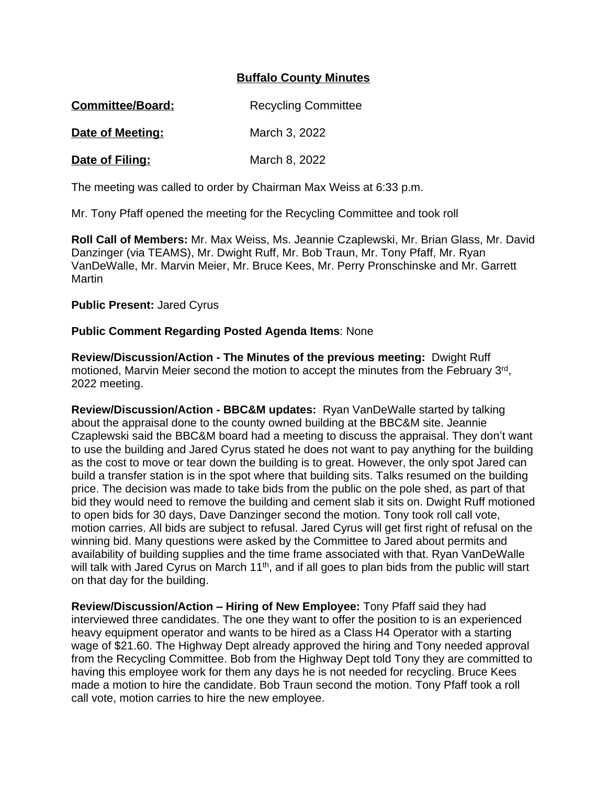## **Buffalo County Minutes**

| <b>Committee/Board:</b> | <b>Recycling Committee</b> |
|-------------------------|----------------------------|
|                         |                            |

**Date of Meeting:** March 3, 2022

**Date of Filing:** March 8, 2022

The meeting was called to order by Chairman Max Weiss at 6:33 p.m.

Mr. Tony Pfaff opened the meeting for the Recycling Committee and took roll

**Roll Call of Members:** Mr. Max Weiss, Ms. Jeannie Czaplewski, Mr. Brian Glass, Mr. David Danzinger (via TEAMS), Mr. Dwight Ruff, Mr. Bob Traun, Mr. Tony Pfaff, Mr. Ryan VanDeWalle, Mr. Marvin Meier, Mr. Bruce Kees, Mr. Perry Pronschinske and Mr. Garrett **Martin** 

## **Public Present:** Jared Cyrus

## **Public Comment Regarding Posted Agenda Items**: None

**Review/Discussion/Action - The Minutes of the previous meeting:** Dwight Ruff motioned, Marvin Meier second the motion to accept the minutes from the February 3rd, 2022 meeting.

**Review/Discussion/Action - BBC&M updates:** Ryan VanDeWalle started by talking about the appraisal done to the county owned building at the BBC&M site. Jeannie Czaplewski said the BBC&M board had a meeting to discuss the appraisal. They don't want to use the building and Jared Cyrus stated he does not want to pay anything for the building as the cost to move or tear down the building is to great. However, the only spot Jared can build a transfer station is in the spot where that building sits. Talks resumed on the building price. The decision was made to take bids from the public on the pole shed, as part of that bid they would need to remove the building and cement slab it sits on. Dwight Ruff motioned to open bids for 30 days, Dave Danzinger second the motion. Tony took roll call vote, motion carries. All bids are subject to refusal. Jared Cyrus will get first right of refusal on the winning bid. Many questions were asked by the Committee to Jared about permits and availability of building supplies and the time frame associated with that. Ryan VanDeWalle will talk with Jared Cyrus on March 11<sup>th</sup>, and if all goes to plan bids from the public will start on that day for the building.

**Review/Discussion/Action – Hiring of New Employee:** Tony Pfaff said they had interviewed three candidates. The one they want to offer the position to is an experienced heavy equipment operator and wants to be hired as a Class H4 Operator with a starting wage of \$21.60. The Highway Dept already approved the hiring and Tony needed approval from the Recycling Committee. Bob from the Highway Dept told Tony they are committed to having this employee work for them any days he is not needed for recycling. Bruce Kees made a motion to hire the candidate. Bob Traun second the motion. Tony Pfaff took a roll call vote, motion carries to hire the new employee.